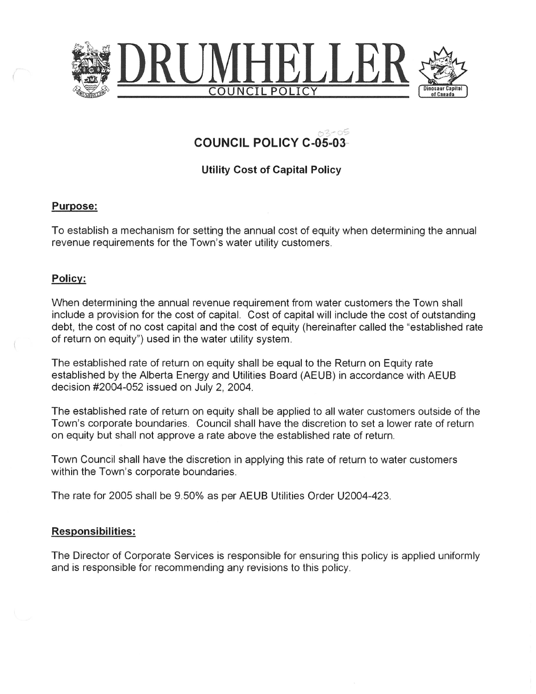

## َ صحيحة معروري<br>-COUNCIL POLICY C-05-03

Utility Cost of Capital Policy

## Purpose:

To establish a mechanism for setting the annual cost of equity when determining the annual revenue requirements for the Town's water utility customers.

## Policy:

When determining the annual revenue requirement from water customers the Town shall include a provision for the cost of capital. Cost of capital will include the cost of outstanding debt, the cost of no cost capital and the cost of equity (hereinafter called the "established rate of return on equity") used in the water utility system.

The established rate of return on equity shall be equal to the Return on Equity rate established by the Alberta Energy and Utilities Board (AEUB) in accordance with AEUB decision #2004-052 issued on July 2, 2004.

The established rate of return on equity shall be applied to all water customers outside of the Town's corporate boundaries. Council shall have the discretion to set a lower rate of return on equity but shall not approve a rate above the established rate of return.

Town Council shall have the discretion in applying this rate of return to water customers within the Town's corporate boundaries.

The rate for 2005 shall be 9.50% as per AEUB Utilities Order U2004—423.

## Resgonsibilities:

The Director of Corporate Services is responsible for ensuring this policy is applied uniformly and is responsible for recommending any revisions to this policy.